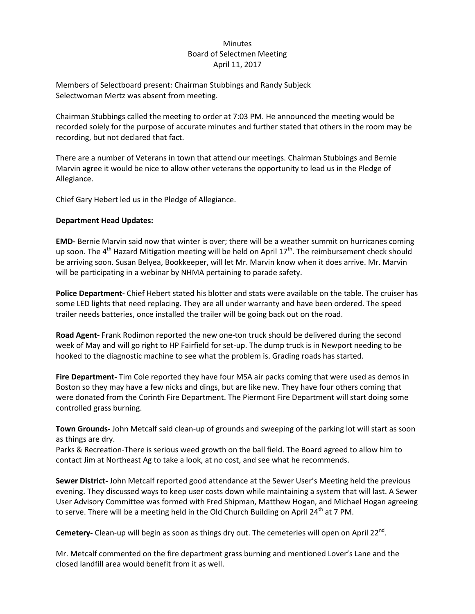## Minutes Board of Selectmen Meeting April 11, 2017

Members of Selectboard present: Chairman Stubbings and Randy Subjeck Selectwoman Mertz was absent from meeting.

Chairman Stubbings called the meeting to order at 7:03 PM. He announced the meeting would be recorded solely for the purpose of accurate minutes and further stated that others in the room may be recording, but not declared that fact.

There are a number of Veterans in town that attend our meetings. Chairman Stubbings and Bernie Marvin agree it would be nice to allow other veterans the opportunity to lead us in the Pledge of Allegiance.

Chief Gary Hebert led us in the Pledge of Allegiance.

## **Department Head Updates:**

**EMD-** Bernie Marvin said now that winter is over; there will be a weather summit on hurricanes coming up soon. The 4<sup>th</sup> Hazard Mitigation meeting will be held on April 17<sup>th</sup>. The reimbursement check should be arriving soon. Susan Belyea, Bookkeeper, will let Mr. Marvin know when it does arrive. Mr. Marvin will be participating in a webinar by NHMA pertaining to parade safety.

**Police Department-** Chief Hebert stated his blotter and stats were available on the table. The cruiser has some LED lights that need replacing. They are all under warranty and have been ordered. The speed trailer needs batteries, once installed the trailer will be going back out on the road.

**Road Agent-** Frank Rodimon reported the new one-ton truck should be delivered during the second week of May and will go right to HP Fairfield for set-up. The dump truck is in Newport needing to be hooked to the diagnostic machine to see what the problem is. Grading roads has started.

**Fire Department-** Tim Cole reported they have four MSA air packs coming that were used as demos in Boston so they may have a few nicks and dings, but are like new. They have four others coming that were donated from the Corinth Fire Department. The Piermont Fire Department will start doing some controlled grass burning.

**Town Grounds-** John Metcalf said clean-up of grounds and sweeping of the parking lot will start as soon as things are dry.

Parks & Recreation-There is serious weed growth on the ball field. The Board agreed to allow him to contact Jim at Northeast Ag to take a look, at no cost, and see what he recommends.

**Sewer District-** John Metcalf reported good attendance at the Sewer User's Meeting held the previous evening. They discussed ways to keep user costs down while maintaining a system that will last. A Sewer User Advisory Committee was formed with Fred Shipman, Matthew Hogan, and Michael Hogan agreeing to serve. There will be a meeting held in the Old Church Building on April 24<sup>th</sup> at 7 PM.

Cemetery- Clean-up will begin as soon as things dry out. The cemeteries will open on April 22<sup>nd</sup>.

Mr. Metcalf commented on the fire department grass burning and mentioned Lover's Lane and the closed landfill area would benefit from it as well.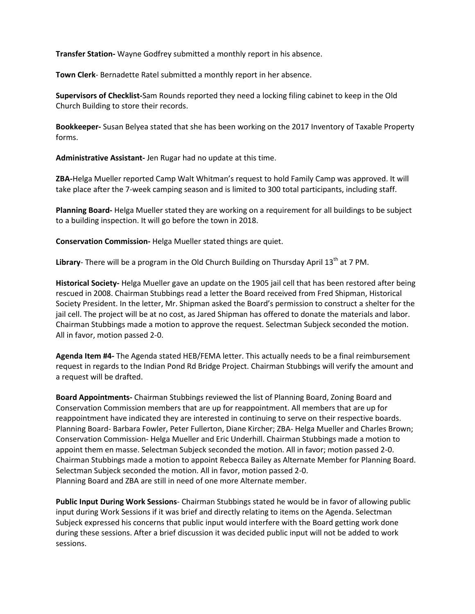**Transfer Station-** Wayne Godfrey submitted a monthly report in his absence.

**Town Clerk**- Bernadette Ratel submitted a monthly report in her absence.

**Supervisors of Checklist-**Sam Rounds reported they need a locking filing cabinet to keep in the Old Church Building to store their records.

**Bookkeeper-** Susan Belyea stated that she has been working on the 2017 Inventory of Taxable Property forms.

**Administrative Assistant-** Jen Rugar had no update at this time.

**ZBA-**Helga Mueller reported Camp Walt Whitman's request to hold Family Camp was approved. It will take place after the 7-week camping season and is limited to 300 total participants, including staff.

**Planning Board-** Helga Mueller stated they are working on a requirement for all buildings to be subject to a building inspection. It will go before the town in 2018.

**Conservation Commission-** Helga Mueller stated things are quiet.

Library- There will be a program in the Old Church Building on Thursday April 13<sup>th</sup> at 7 PM.

**Historical Society-** Helga Mueller gave an update on the 1905 jail cell that has been restored after being rescued in 2008. Chairman Stubbings read a letter the Board received from Fred Shipman, Historical Society President. In the letter, Mr. Shipman asked the Board's permission to construct a shelter for the jail cell. The project will be at no cost, as Jared Shipman has offered to donate the materials and labor. Chairman Stubbings made a motion to approve the request. Selectman Subjeck seconded the motion. All in favor, motion passed 2-0.

**Agenda Item #4-** The Agenda stated HEB/FEMA letter. This actually needs to be a final reimbursement request in regards to the Indian Pond Rd Bridge Project. Chairman Stubbings will verify the amount and a request will be drafted.

**Board Appointments-** Chairman Stubbings reviewed the list of Planning Board, Zoning Board and Conservation Commission members that are up for reappointment. All members that are up for reappointment have indicated they are interested in continuing to serve on their respective boards. Planning Board- Barbara Fowler, Peter Fullerton, Diane Kircher; ZBA- Helga Mueller and Charles Brown; Conservation Commission- Helga Mueller and Eric Underhill. Chairman Stubbings made a motion to appoint them en masse. Selectman Subjeck seconded the motion. All in favor; motion passed 2-0. Chairman Stubbings made a motion to appoint Rebecca Bailey as Alternate Member for Planning Board. Selectman Subjeck seconded the motion. All in favor, motion passed 2-0. Planning Board and ZBA are still in need of one more Alternate member.

**Public Input During Work Sessions**- Chairman Stubbings stated he would be in favor of allowing public input during Work Sessions if it was brief and directly relating to items on the Agenda. Selectman Subjeck expressed his concerns that public input would interfere with the Board getting work done during these sessions. After a brief discussion it was decided public input will not be added to work sessions.